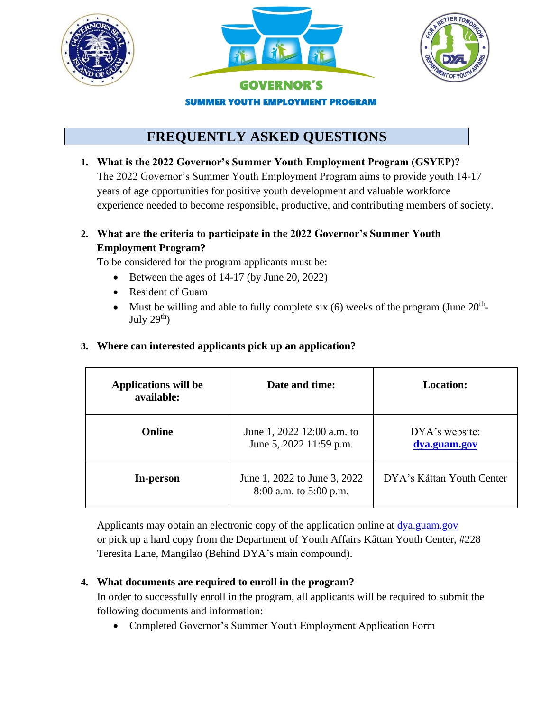





## GOVERNOR'S SUMMER YOUTH EMPLOYMENT PROGRAM

# **FREQUENTLY ASKED QUESTIONS**

**1. What is the 2022 Governor's Summer Youth Employment Program (GSYEP)?** The 2022 Governor's Summer Youth Employment Program aims to provide youth 14-17 years of age opportunities for positive youth development and valuable workforce experience needed to become responsible, productive, and contributing members of society.

#### **2. What are the criteria to participate in the 2022 Governor's Summer Youth Employment Program?**

To be considered for the program applicants must be:

- Between the ages of 14-17 (by June 20, 2022)
- Resident of Guam
- Must be willing and able to fully complete six  $(6)$  weeks of the program (June  $20<sup>th</sup>$ -July  $29<sup>th</sup>$ )

| <b>Applications will be</b><br>available: | Date and time:                                         | <b>Location:</b>               |
|-------------------------------------------|--------------------------------------------------------|--------------------------------|
| <b>Online</b>                             | June 1, 2022 12:00 a.m. to<br>June 5, 2022 11:59 p.m.  | DYA's website:<br>dya.guam.gov |
| In-person                                 | June 1, 2022 to June 3, 2022<br>8:00 a.m. to 5:00 p.m. | DYA's Kåttan Youth Center      |

#### **3. Where can interested applicants pick up an application?**

Applicants may obtain an electronic copy of the application online at [dya.guam.gov](file:///C:/Users/danielle.camacho/Downloads/dya.guam.gov) or pick up a hard copy from the Department of Youth Affairs Kåttan Youth Center, #228 Teresita Lane, Mangilao (Behind DYA's main compound).

#### **4. What documents are required to enroll in the program?**

In order to successfully enroll in the program, all applicants will be required to submit the following documents and information:

• Completed Governor's Summer Youth Employment Application Form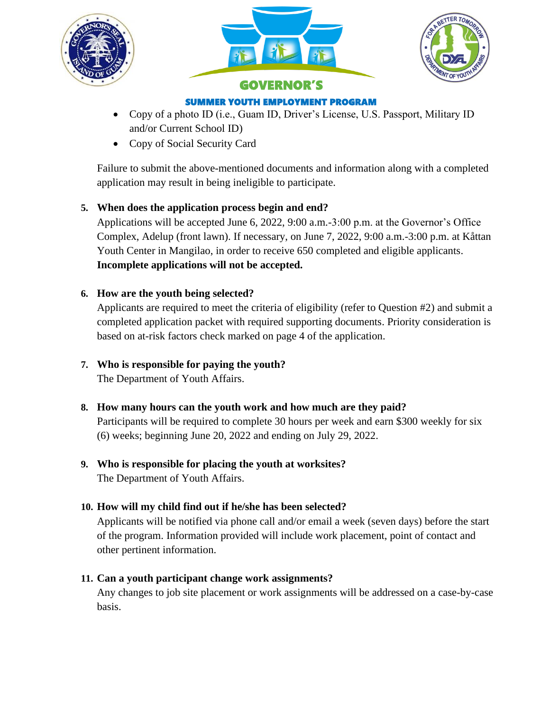





# SUMMER YOUTH EMPLOYMENT PROGRAM

- Copy of a photo ID (i.e., Guam ID, Driver's License, U.S. Passport, Military ID and/or Current School ID)
- Copy of Social Security Card

Failure to submit the above-mentioned documents and information along with a completed application may result in being ineligible to participate.

#### **5. When does the application process begin and end?**

Applications will be accepted June 6, 2022, 9:00 a.m.-3:00 p.m. at the Governor's Office Complex, Adelup (front lawn). If necessary, on June 7, 2022, 9:00 a.m.-3:00 p.m. at Kåttan Youth Center in Mangilao, in order to receive 650 completed and eligible applicants. **Incomplete applications will not be accepted.**

#### **6. How are the youth being selected?**

Applicants are required to meet the criteria of eligibility (refer to Question #2) and submit a completed application packet with required supporting documents. Priority consideration is based on at-risk factors check marked on page 4 of the application.

#### **7. Who is responsible for paying the youth?**

The Department of Youth Affairs.

**8. How many hours can the youth work and how much are they paid?**

Participants will be required to complete 30 hours per week and earn \$300 weekly for six (6) weeks; beginning June 20, 2022 and ending on July 29, 2022.

### **9. Who is responsible for placing the youth at worksites?**

The Department of Youth Affairs.

#### **10. How will my child find out if he/she has been selected?**

Applicants will be notified via phone call and/or email a week (seven days) before the start of the program. Information provided will include work placement, point of contact and other pertinent information.

#### **11. Can a youth participant change work assignments?**

Any changes to job site placement or work assignments will be addressed on a case-by-case basis.